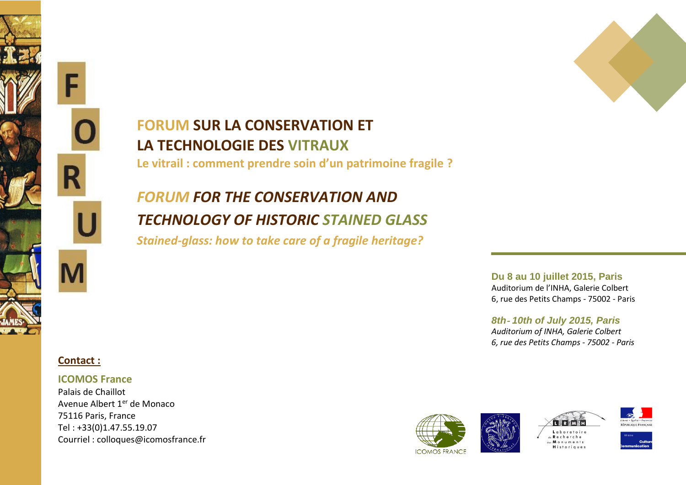

# **FORUM SUR LA CONSERVATION ET LA TECHNOLOGIE DES VITRAUX**

**Le vitrail : comment prendre soin d'un patrimoine fragile ?**

# *FORUM FOR THE CONSERVATION AND TECHNOLOGY OF HISTORIC STAINED GLASS*

*Stained-glass: how to take care of a fragile heritage?*

**Du 8 au 10 juillet 2015, Paris** Auditorium de l'INHA, Galerie Colbert 6, rue des Petits Champs ‐ 75002 ‐ Paris

*8th*‐ *10th of July 2015, Paris Auditorium of INHA, Galerie Colbert 6, rue des Petits Champs ‐ 75002 ‐ Paris*



## **ICOMOS France**

Palais de Chaillot Avenue Albert 1<sup>er</sup> de Monaco 75116 Paris, France Tel : +33(0)1.47.55.19.07 Courriel : [colloques@icomosfrance.fr](mailto:colloques@icomosfrance.fr)

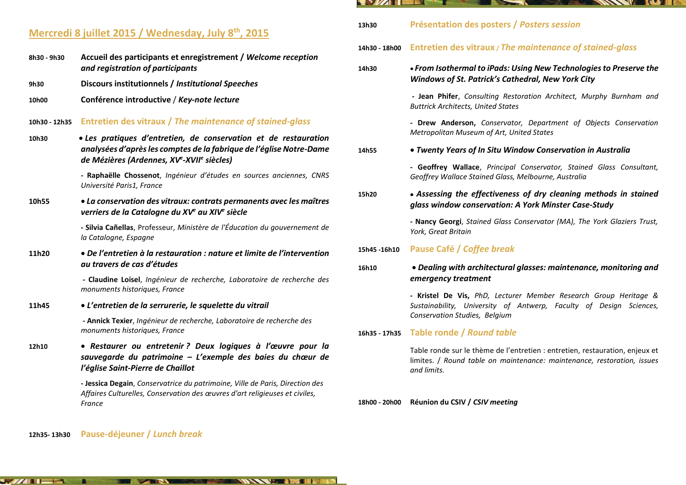## **Mercredi 8 juillet 2015 / Wednesday, July 8th, 2015**

- **8h30 - 9h30 Accueil des participants et enregistrement /** *Welcome reception and registration of participants*
- **9h30 Discours institutionnels /** *Institutional Speeches*
- **10h00 Conférence introductive** / *Key-note lecture*
- **10h30 - 12h35 Entretien des vitraux /** *The maintenance of stained-glass*
- **10h30** *Les pratiques d'entretien, de conservation et de restauration analysées d'après les comptes de la fabrique de l'église Notre-Dame de Mézières (Ardennes, XV<sup>e</sup> -XVII<sup>e</sup> siècles)*

**- Raphaëlle Chossenot**, *Ingénieur d'études en sources anciennes, CNRS Université Paris1, France*

**10h55** *La conservation des vitraux: contrats permanents avec les maîtres verriers de la Catalogne du XV <sup>e</sup> au XIV e siècle*

> **- Silvia Cañellas**, Professeur, *Ministère de l'Éducation du gouvernement de la Catalogne, Espagne*

**11h20** *De l'entretien à la restauration : nature et limite de l'intervention au travers de cas d'études*

> **- Claudine Loisel**, *Ingénieur de recherche, Laboratoire de recherche des monuments historiques, France*

**11h45** *L'entretien de la serrurerie, le squelette du vitrail* 

**THE REAL** 

**- Annick Texier**, *Ingénieur de recherche, Laboratoire de recherche des monuments historiques, France* 

**12h10** *Restaurer ou entretenir ? Deux logiques à l'œuvre pour la sauvegarde du patrimoine – L'exemple des baies du chœur de l'église Saint-Pierre de Chaillot*

> **- Jessica Degain**, *Conservatrice du patrimoine, Ville de Paris, Direction des Affaires Culturelles, Conservation des œuvres d'art religieuses et civiles, France*

> > WAXAY 235 IFM

## **12h35- 13h30 Pause-déjeuner /** *Lunch break*

 $\sim$   $\frac{1}{2}$  is the state of  $\sim$ 

#### **EXAMPLE** <u>a sa i</u> **THE REAL PROPERTY OF REAL PROPERTY**

- **13h30 Présentation des posters /** *Posters session*
- **14h30 - 18h00 Entretien des vitraux /** *The maintenance of stained-glass*

| 14h30        | • From Isothermal to iPads: Using New Technologies to Preserve the<br>Windows of St. Patrick's Cathedral, New York City                                                 |
|--------------|-------------------------------------------------------------------------------------------------------------------------------------------------------------------------|
|              | <b>- Jean Phifer</b> , Consulting Restoration Architect, Murphy Burnham and<br><b>Buttrick Architects, United States</b>                                                |
|              | - Drew Anderson, Conservator, Department of Objects Conservation<br>Metropolitan Museum of Art, United States                                                           |
| 14h55        | • Twenty Years of In Situ Window Conservation in Australia                                                                                                              |
|              | - Geoffrey Wallace, Principal Conservator, Stained Glass Consultant,<br>Geoffrey Wallace Stained Glass, Melbourne, Australia                                            |
| 15h20        | • Assessing the effectiveness of dry cleaning methods in stained<br>glass window conservation: A York Minster Case-Study                                                |
|              | - Nancy Georgi, Stained Glass Conservator (MA), The York Glaziers Trust,<br>York, Great Britain                                                                         |
| 15h45 -16h10 | Pause Café / Coffee break                                                                                                                                               |
| 16h10        | · Dealing with architectural glasses: maintenance, monitoring and<br>emergency treatment                                                                                |
|              | - Kristel De Vis, PhD, Lecturer Member Research Group Heritage &<br>Sustainability, University of Antwerp, Faculty of Design Sciences,<br>Conservation Studies, Belgium |
|              | 16h35 - 17h35 Table ronde / Round table                                                                                                                                 |

Table ronde sur le thème de l'entretien : entretien, restauration, enjeux et limites. / *Round table on maintenance: maintenance, restoration, issues and limits.*

#### **18h00 - 20h00 Réunion du CSIV /** *CSIV meeting*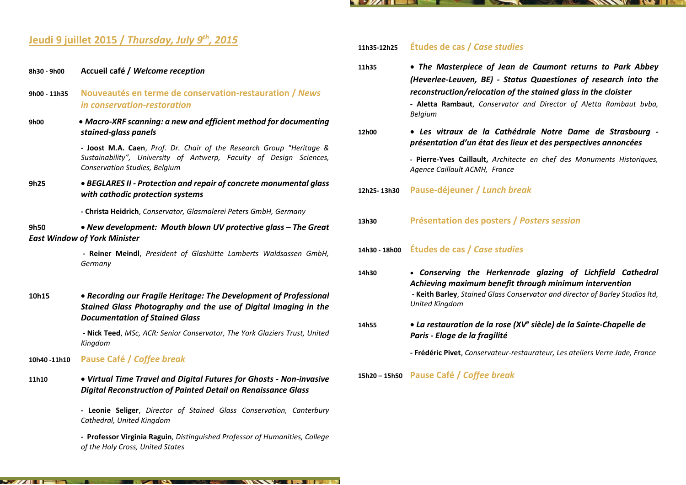#### $\blacksquare$ **NATIONAL INC.**

## **Jeudi 9 juillet 2015 /** *Thursday, July 9th, 2015*

- **8h30 - 9h00 Accueil café /** *Welcome reception*
- **9h00 - 11h35 Nouveautés en terme de conservation-restauration /** *News in conservation-restoration*
- **9h00** *Macro-XRF scanning: a new and efficient method for documenting stained-glass panels*

**- Joost M.A. Caen**, *Prof. Dr. Chair of the Research Group "Heritage & Sustainability", University of Antwerp, Faculty of Design Sciences, Conservation Studies, Belgium*

**9h25** *BEGLARES II - Protection and repair of concrete monumental glass with cathodic protection systems*

**- Christa Heidrich**, *Conservator, Glasmalerei Peters GmbH, Germany*

**9h50** *New development: Mouth blown UV protective glass – The Great East Window of York Minister*

> **- Reiner Meindl**, *President of Glashütte Lamberts Waldsassen GmbH, Germany*

**10h15** *Recording our Fragile Heritage: The Development of Professional Stained Glass Photography and the use of Digital Imaging in the Documentation of Stained Glass*

> **- Nick Teed**, *MSc, ACR: Senior Conservator, The York Glaziers Trust, United Kingdom*

- **10h40 -11h10 Pause Café /** *Coffee break*
- **11h10** *Virtual Time Travel and Digital Futures for Ghosts - Non-invasive Digital Reconstruction of Painted Detail on Renaissance Glass*

**- Leonie Seliger**, *Director of Stained Glass Conservation, Canterbury Cathedral, United Kingdom*

**- Professor Virginia Raguin***, Distinguished Professor of Humanities, College of the Holy Cross, United States*

### **11h35-12h25 Études de cas /** *Case studies*

**11h35** *The Masterpiece of Jean de Caumont returns to Park Abbey (Heverlee-Leuven, BE) - Status Quaestiones of research into the reconstruction/relocation of the stained glass in the cloister* **- Aletta Rambaut**, *Conservator and Director of Aletta Rambaut bvba, Belgium* 

## **12h00** *Les vitraux de la Cathédrale Notre Dame de Strasbourg présentation d'un état des lieux et des perspectives annoncées*

- **- Pierre-Yves Caillault,** *Architecte en chef des Monuments Historiques, Agence Caillault ACMH, France*
- **12h25- 13h30 Pause-déjeuner /** *Lunch break*
- **13h30 Présentation des posters /** *Posters session*
- **14h30 - 18h00 Études de cas /** *Case studies*
- **14h30** *Conserving the Herkenrode glazing of Lichfield Cathedral Achieving maximum benefit through minimum intervention* **- Keith Barley**, *Stained Glass Conservator and director of Barley Studios ltd, United Kingdom*
- **14h55**  *La restauration de la rose (XV<sup>e</sup> siècle) de la Sainte-Chapelle de Paris - Eloge de la fragilité*
	- **- Frédéric Pivet**, *Conservateur-restaurateur, Les ateliers Verre Jade, France*
- **15h20 – 15h50 Pause Café /** *Coffee break*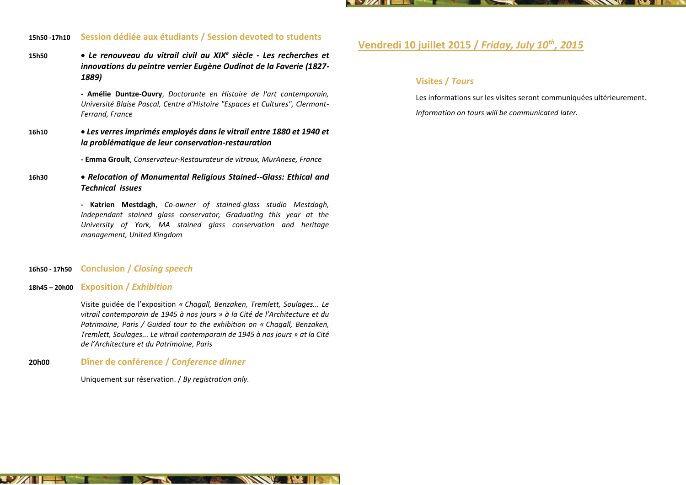

## **15h50 -17h10 Session dédiée aux étudiants / Session devoted to students**

**15h50**  *Le renouveau du vitrail civil au XIX<sup>e</sup> siècle - Les recherches et innovations du peintre verrier Eugène Oudinot de la Faverie (1827- 1889)*

> **- Amélie Duntze-Ouvry**, *Doctorante en Histoire de l'art contemporain, Université Blaise Pascal, Centre d'Histoire "Espaces et Cultures", Clermont-Ferrand, France*

**16h10** *Les verres imprimés employés dans le vitrail entre 1880 et 1940 et la problématique de leur conservation-restauration*

**- Emma Groult**, *Conservateur-Restaurateur de vitraux, MurAnese, France* 

**16h30** *Relocation of Monumental Religious Stained--Glass: Ethical and Technical issues*

> **- Katrien Mestdagh**, *Co-owner of stained-glass studio Mestdagh, Independant stained glass conservator, Graduating this year at the University of York, MA stained glass conservation and heritage management, United Kingdom*

#### **16h50 - 17h50 Conclusion /** *Closing speech*

### **18h45 – 20h00 Exposition /** *Exhibition*

 $\mathbf{U}$   $\mathbf{V}$   $\mathbf{H}$ 

**124** 

Visite guidée de l'exposition *« Chagall, Benzaken, Tremlett, Soulages... Le vitrail contemporain de 1945 à nos jours » à la Cité de l'Architecture et du Patrimoine, Paris / Guided tour to the exhibition on « Chagall, Benzaken, Tremlett, Soulages... Le vitrail contemporain de 1945 à nos jours » at la Cité de l'Architecture et du Patrimoine, Paris*

**THE REAL PROPERTY OF A REAL PROPERTY OF A REAL PROPERTY** 

## **20h00 Dîner de conférence /** *Conference dinner*

Uniquement sur réservation. / *By registration only.*

**DEAN** 

## **Vendredi 10 juillet 2015 /** *Friday, July 10th , 2015*

## **Visites /** *Tours*

Les informations sur les visites seront communiquées ultérieurement. *Information on tours will be communicated later.*